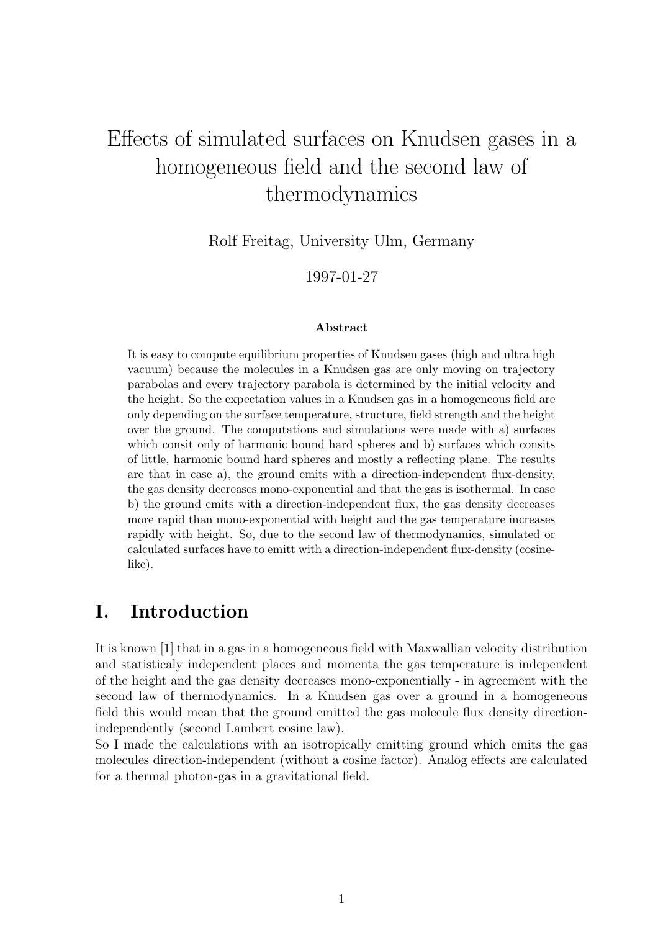# Effects of simulated surfaces on Knudsen gases in a homogeneous field and the second law of thermodynamics

Rolf Freitag, University Ulm, Germany

1997-01-27

#### Abstract

It is easy to compute equilibrium properties of Knudsen gases (high and ultra high vacuum) because the molecules in a Knudsen gas are only moving on trajectory parabolas and every trajectory parabola is determined by the initial velocity and the height. So the expectation values in a Knudsen gas in a homogeneous field are only depending on the surface temperature, structure, field strength and the height over the ground. The computations and simulations were made with a) surfaces which consit only of harmonic bound hard spheres and b) surfaces which consits of little, harmonic bound hard spheres and mostly a reflecting plane. The results are that in case a), the ground emits with a direction-independent flux-density, the gas density decreases mono-exponential and that the gas is isothermal. In case b) the ground emits with a direction-independent flux, the gas density decreases more rapid than mono-exponential with height and the gas temperature increases rapidly with height. So, due to the second law of thermodynamics, simulated or calculated surfaces have to emitt with a direction-independent flux-density (cosinelike).

#### I. Introduction

It is known [1] that in a gas in a homogeneous field with Maxwallian velocity distribution and statisticaly independent places and momenta the gas temperature is independent of the height and the gas density decreases mono-exponentially - in agreement with the second law of thermodynamics. In a Knudsen gas over a ground in a homogeneous field this would mean that the ground emitted the gas molecule flux density directionindependently (second Lambert cosine law).

So I made the calculations with an isotropically emitting ground which emits the gas molecules direction-independent (without a cosine factor). Analog effects are calculated for a thermal photon-gas in a gravitational field.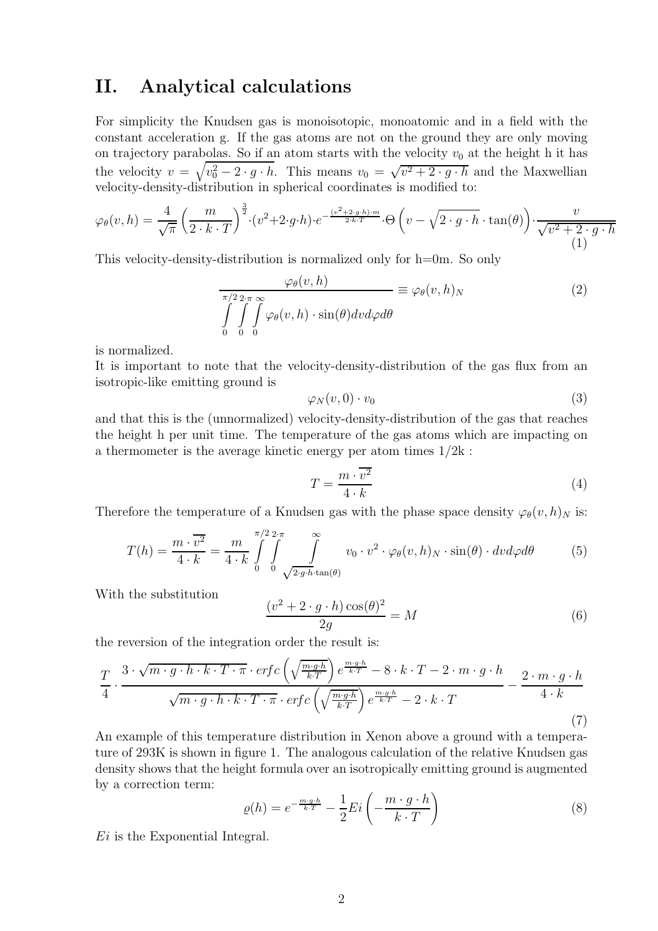### II. Analytical calculations

For simplicity the Knudsen gas is monoisotopic, monoatomic and in a field with the constant acceleration g. If the gas atoms are not on the ground they are only moving on trajectory parabolas. So if an atom starts with the velocity  $v_0$  at the height h it has the velocity  $v = \sqrt{v_0^2 - 2 \cdot g \cdot h}$ . This means  $v_0 = \sqrt{v^2 + 2 \cdot g \cdot h}$  and the Maxwellian velocity-density-distribution in spherical coordinates is modified to:

$$
\varphi_{\theta}(v,h) = \frac{4}{\sqrt{\pi}} \left(\frac{m}{2 \cdot k \cdot T}\right)^{\frac{3}{2}} \cdot (v^2 + 2 \cdot g \cdot h) \cdot e^{-\frac{(v^2 + 2 \cdot g \cdot h) \cdot m}{2 \cdot k \cdot T}} \cdot \Theta\left(v - \sqrt{2 \cdot g \cdot h} \cdot \tan(\theta)\right) \cdot \frac{v}{\sqrt{v^2 + 2 \cdot g \cdot h}}
$$
\n(1)

This velocity-density-distribution is normalized only for h=0m. So only

$$
\frac{\varphi_{\theta}(v,h)}{\int_{0}^{\pi/2} \int_{0}^{2\pi} \varphi_{\theta}(v,h) \cdot \sin(\theta) dv d\varphi d\theta} \equiv \varphi_{\theta}(v,h)_{N}
$$
\n(2)

is normalized.

It is important to note that the velocity-density-distribution of the gas flux from an isotropic-like emitting ground is

$$
\varphi_N(v,0)\cdot v_0\tag{3}
$$

and that this is the (unnormalized) velocity-density-distribution of the gas that reaches the height h per unit time. The temperature of the gas atoms which are impacting on a thermometer is the average kinetic energy per atom times 1/2k :

$$
T = \frac{m \cdot \overline{v^2}}{4 \cdot k} \tag{4}
$$

Therefore the temperature of a Knudsen gas with the phase space density  $\varphi_{\theta}(v, h)_{N}$  is:

$$
T(h) = \frac{m \cdot \overline{v^2}}{4 \cdot k} = \frac{m}{4 \cdot k} \int_{0}^{\pi/2} \int_{0}^{2\cdot \pi} \int_{\sqrt{2 \cdot g \cdot h} \cdot \tan(\theta)} v_0 \cdot v^2 \cdot \varphi_{\theta}(v, h)_N \cdot \sin(\theta) \cdot dv d\varphi d\theta
$$
 (5)

With the substitution

$$
\frac{(v^2 + 2 \cdot g \cdot h)\cos(\theta)^2}{2g} = M\tag{6}
$$

the reversion of the integration order the result is:

$$
\frac{T}{4} \cdot \frac{3 \cdot \sqrt{m \cdot g \cdot h \cdot k \cdot T \cdot \pi} \cdot \text{erfc}\left(\sqrt{\frac{m \cdot g \cdot h}{k \cdot T}}\right) e^{\frac{m \cdot g \cdot h}{k \cdot T}} - 8 \cdot k \cdot T - 2 \cdot m \cdot g \cdot h}{\sqrt{m \cdot g \cdot h \cdot k \cdot T \cdot \pi} \cdot \text{erfc}\left(\sqrt{\frac{m \cdot g \cdot h}{k \cdot T}}\right) e^{\frac{m \cdot g \cdot h}{k \cdot T}} - 2 \cdot k \cdot T} - \frac{2 \cdot m \cdot g \cdot h}{4 \cdot k} \tag{7}
$$

An example of this temperature distribution in Xenon above a ground with a temperature of 293K is shown in figure 1. The analogous calculation of the relative Knudsen gas density shows that the height formula over an isotropically emitting ground is augmented by a correction term:

$$
\varrho(h) = e^{-\frac{m \cdot g \cdot h}{k \cdot T}} - \frac{1}{2} E i \left( -\frac{m \cdot g \cdot h}{k \cdot T} \right) \tag{8}
$$

Ei is the Exponential Integral.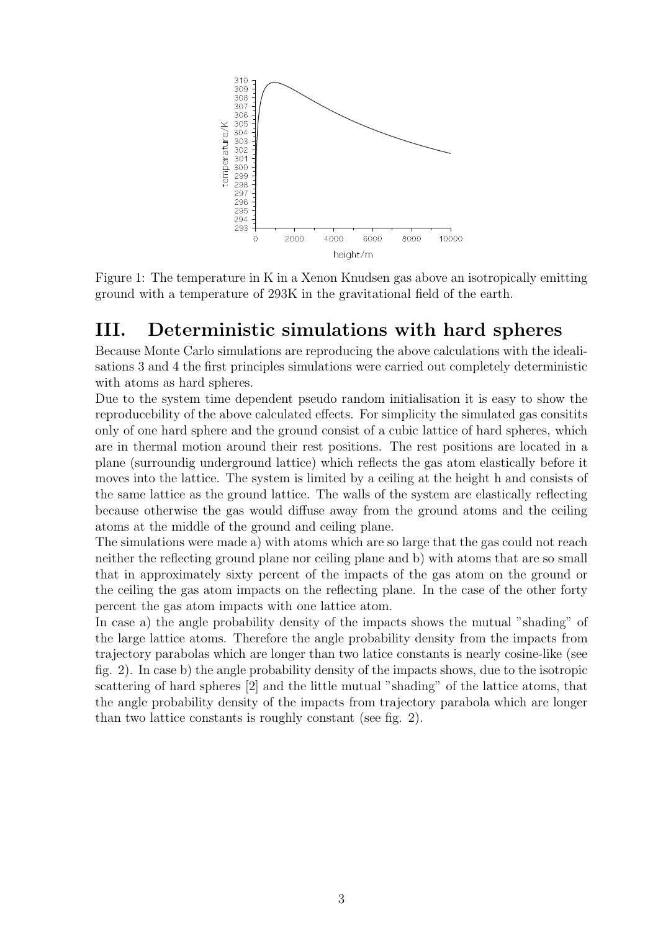

Figure 1: The temperature in K in a Xenon Knudsen gas above an isotropically emitting ground with a temperature of 293K in the gravitational field of the earth.

### III. Deterministic simulations with hard spheres

Because Monte Carlo simulations are reproducing the above calculations with the idealisations 3 and 4 the first principles simulations were carried out completely deterministic with atoms as hard spheres.

Due to the system time dependent pseudo random initialisation it is easy to show the reproducebility of the above calculated effects. For simplicity the simulated gas consitits only of one hard sphere and the ground consist of a cubic lattice of hard spheres, which are in thermal motion around their rest positions. The rest positions are located in a plane (surroundig underground lattice) which reflects the gas atom elastically before it moves into the lattice. The system is limited by a ceiling at the height h and consists of the same lattice as the ground lattice. The walls of the system are elastically reflecting because otherwise the gas would diffuse away from the ground atoms and the ceiling atoms at the middle of the ground and ceiling plane.

The simulations were made a) with atoms which are so large that the gas could not reach neither the reflecting ground plane nor ceiling plane and b) with atoms that are so small that in approximately sixty percent of the impacts of the gas atom on the ground or the ceiling the gas atom impacts on the reflecting plane. In the case of the other forty percent the gas atom impacts with one lattice atom.

In case a) the angle probability density of the impacts shows the mutual "shading" of the large lattice atoms. Therefore the angle probability density from the impacts from trajectory parabolas which are longer than two latice constants is nearly cosine-like (see fig. 2). In case b) the angle probability density of the impacts shows, due to the isotropic scattering of hard spheres [2] and the little mutual "shading" of the lattice atoms, that the angle probability density of the impacts from trajectory parabola which are longer than two lattice constants is roughly constant (see fig. 2).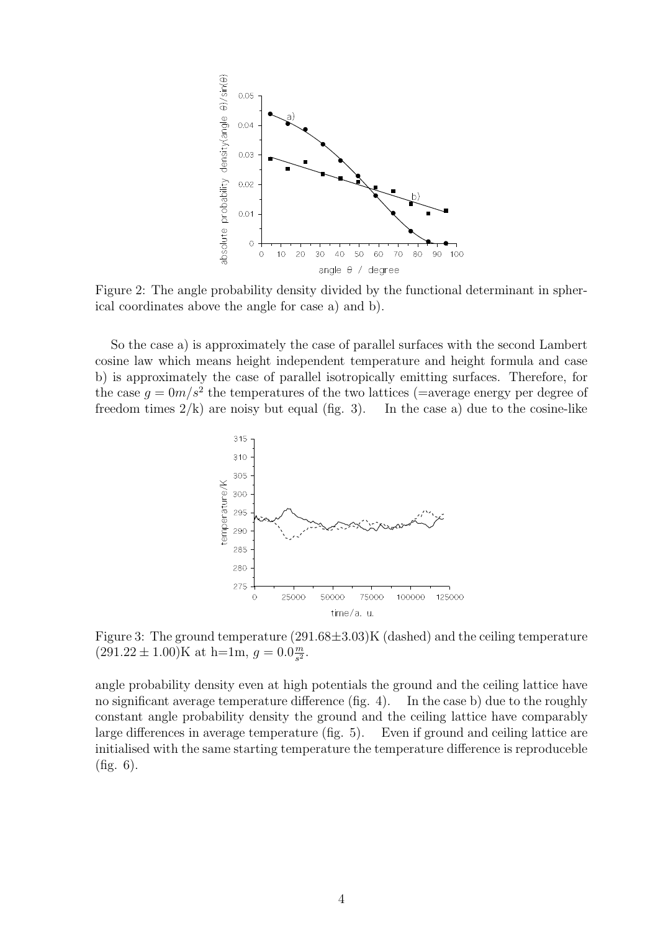

Figure 2: The angle probability density divided by the functional determinant in spherical coordinates above the angle for case a) and b).

So the case a) is approximately the case of parallel surfaces with the second Lambert cosine law which means height independent temperature and height formula and case b) is approximately the case of parallel isotropically emitting surfaces. Therefore, for the case  $g = 0m/s^2$  the temperatures of the two lattices (=average energy per degree of freedom times  $2/k$ ) are noisy but equal (fig. 3). In the case a) due to the cosine-like



Figure 3: The ground temperature  $(291.68\pm3.03)$ K (dashed) and the ceiling temperature  $(291.22 \pm 1.00) \text{K}$  at h=1m,  $g = 0.0 \frac{m}{s^2}$  $\frac{m}{s^2}$ .

angle probability density even at high potentials the ground and the ceiling lattice have no significant average temperature difference (fig. 4). In the case b) due to the roughly constant angle probability density the ground and the ceiling lattice have comparably large differences in average temperature (fig. 5). Even if ground and ceiling lattice are initialised with the same starting temperature the temperature difference is reproduceble (fig. 6).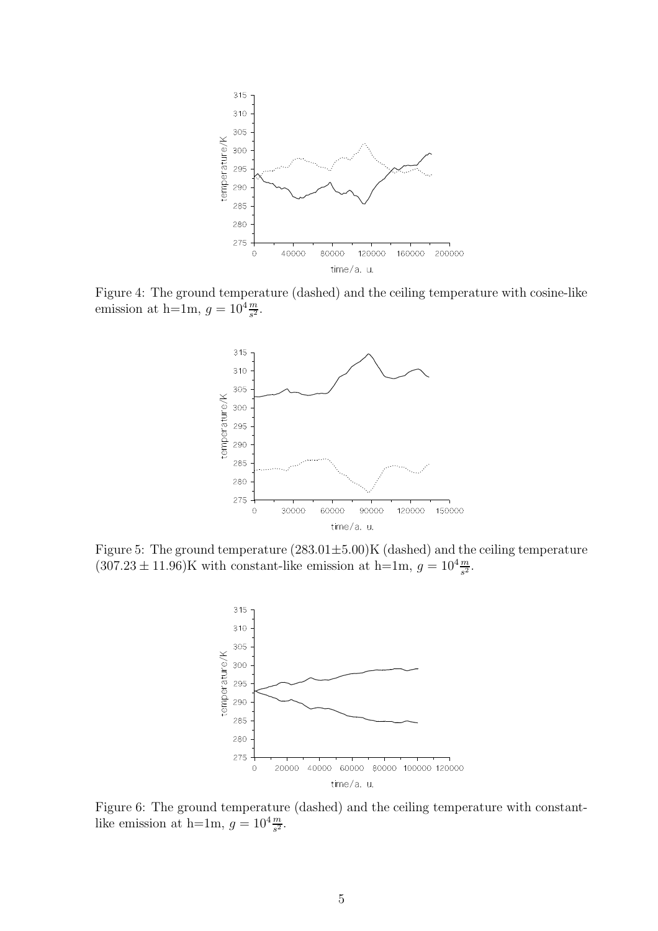

Figure 4: The ground temperature (dashed) and the ceiling temperature with cosine-like emission at h=1m,  $g = 10^4 \frac{m}{s^2}$ .



Figure 5: The ground temperature  $(283.01 \pm 5.00)$ K (dashed) and the ceiling temperature  $(307.23 \pm 11.96)$ K with constant-like emission at h=1m,  $g = 10^4 \frac{m}{s^2}$ .



Figure 6: The ground temperature (dashed) and the ceiling temperature with constantlike emission at h=1m,  $g = 10^4 \frac{m}{s^2}$ .